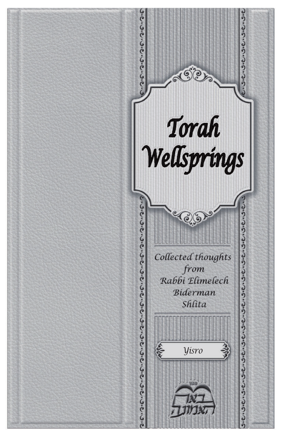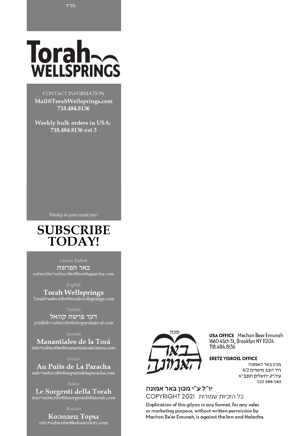# Torah $\sim$ WELLSPRINGS

CONTACT INFORMATION Mail@TorahWellsprings.com 718.484.8136

Weekly bulk orders in USA: 718.484.8136 ext 3

# **SUBSCRIBE TODAY!**

Lashon Kodesh

באר הפרשה subscribe+subscribe@beerhaparsha.com

**Torah Wellsprings** Torah+subscribe@torahwellsprings.com

דער פרשה קוואל<br>yiddish+subscribe@derparshakval.com

Manantiales de la Torá info+subscribe@manantialesdelatora.com

Au Puits de La Paracha info+subscribe@aupuitsdelaparacha.com

Le Sorgenti della Torah<br>info+subscribe@lesorgentidellatorah.com

Колодец Торы info+subscribe@kolodetztory.com



**USA OFFICE** Mechon Beer Emunah 1660 45th St, Brooklyn NY 11204 718.484.8136

#### **ERETZ YISROEL OFFICE**

מכון באר האמונה רח' דובב מישרים 4/2 עיה"ק ירושלים תובב"א 025 688 040

#### יו"ל ע"י מכון באר אמונה כל הזכיות שמורות COPYRIGHT 2021

Duplication of this gilyon in any format, for any sales or marketing purpose, without written permission by Machon Be'er Emunah, is against the law and Halacha.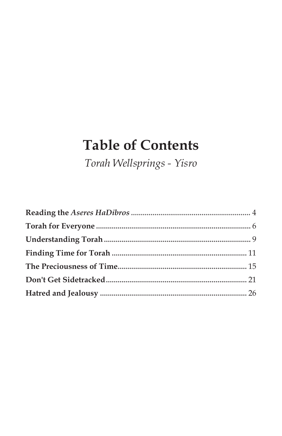# **Table of Contents**

Torah Wellsprings - Yisro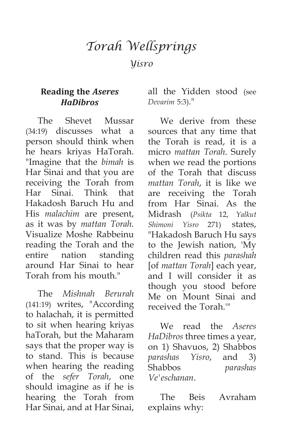# *Torah Wellsprings*

*Yisro*

# **Reading the** *Aseres HaDibros*

The Shevet Mussar (34:19) discusses what a person should think when he hears kriyas HaTorah. "Imagine that the *bimah* is Har Sinai and that you are receiving the Torah from Har Sinai. Think that Hakadosh Baruch Hu and His *malachim* are present, as it was by *mattan Torah.* Visualize Moshe Rabbeinu reading the Torah and the entire nation standing around Har Sinai to hear Torah from his mouth."

The *Mishnah Berurah* (141:19) writes, "According to halachah, it is permitted to sit when hearing kriyas haTorah, but the Maharam says that the proper way is to stand. This is because when hearing the reading of the *sefer Torah*, one should imagine as if he is hearing the Torah from Har Sinai, and at Har Sinai,

all the Yidden stood (see *Devarim* 5:3)."

We derive from these sources that any time that the Torah is read, it is a micro *mattan Torah*. Surely when we read the portions of the Torah that discuss *mattan Torah*, it is like we are receiving the Torah from Har Sinai. As the Midrash (*Psikta* 12, *Yalkut Shimoni Yisro* 271) states, "Hakadosh Baruch Hu says to the Jewish nation, 'My children read this *parashah* [of *mattan Torah*] each year, and I will consider it as though you stood before Me on Mount Sinai and received the Torah.'"

We read the *Aseres HaDibros* three times a year, on 1) Shavuos, 2) Shabbos *parashas Yisro*, and 3) Shabbos *parashas Ve'eschanan*.

The Beis Avraham explains why: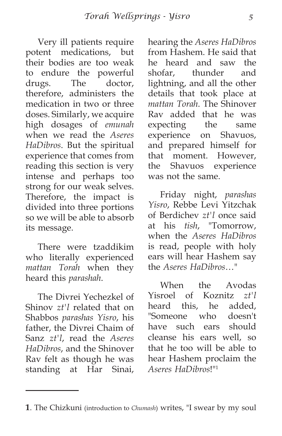Very ill patients require potent medications, but their bodies are too weak to endure the powerful drugs. The doctor, therefore, administers the medication in two or three doses. Similarly, we acquire high dosages of *emunah* when we read the *Aseres HaDibros*. But the spiritual experience that comes from reading this section is very intense and perhaps too strong for our weak selves. Therefore, the impact is divided into three portions so we will be able to absorb its message.

There were tzaddikim who literally experienced *mattan Torah* when they heard this *parashah*.

The Divrei Yechezkel of Shinov *zt'l* related that on Shabbos *parashas Yisro*, his father, the Divrei Chaim of Sanz *zt'l*, read the *Aseres HaDibros*, and the Shinover Rav felt as though he was standing at Har Sinai, hearing the *Aseres HaDibros* from Hashem. He said that he heard and saw the shofar, thunder and lightning, and all the other details that took place at *mattan Torah*. The Shinover Rav added that he was expecting the same experience on Shavuos, and prepared himself for that moment. However, the Shavuos experience was not the same.

Friday night, *parashas Yisro*, Rebbe Levi Yitzchak of Berdichev *zt'l* once said at his *tish*, "Tomorrow, when the *Aseres HaDibros* is read, people with holy ears will hear Hashem say the *Aseres HaDibros*…"

When the Avodas Yisroel of Koznitz *zt'l* heard this, he added, "Someone who doesn't have such ears should cleanse his ears well, so that he too will be able to hear Hashem proclaim the *Aseres HaDibros*!"1

**<sup>1</sup>**. The Chizkuni (introduction to *Chumash*) writes, "I swear by my soul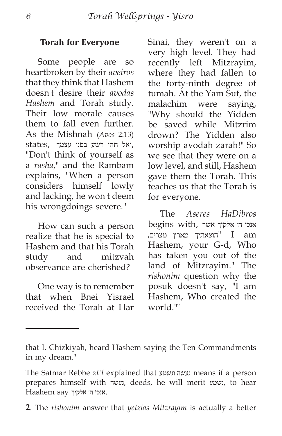#### **Torah for Everyone**

Some people are so heartbroken by their *aveiros* that they think that Hashem doesn't desire their *avodas Hashem* and Torah study. Their low morale causes them to fall even further. As the Mishnah (*Avos* 2:13) ,ואל תהי רשע בפני עצמך ,states "Don't think of yourself as a *rasha*," and the Rambam explains, "When a person considers himself lowly and lacking, he won't deem his wrongdoings severe."

How can such a person realize that he is special to Hashem and that his Torah study and mitzvah observance are cherished?

One way is to remember that when Bnei Yisrael received the Torah at Har Sinai, they weren't on a very high level. They had recently left Mitzrayim, where they had fallen to the forty-ninth degree of tumah. At the Yam Suf, the malachim were saying, "Why should the Yidden be saved while Mitzrim drown? The Yidden also worship avodah zarah!" So we see that they were on a low level, and still, Hashem gave them the Torah. This teaches us that the Torah is for everyone.

The *Aseres HaDibros* אנכי ה' אלקיך אשר ,begins with am I" הוצאתיך מארץ מצרים, Hashem, your G-d, Who has taken you out of the land of Mitzrayim." The *rishonim* question why the posuk doesn't say, "I am Hashem, Who created the world."<sup>2</sup>

that I, Chizkiyah, heard Hashem saying the Ten Commandments in my dream."

The Satmar Rebbe *zt'l* explained that ונשמע נעשה means if a person prepares himself with נעשה, deeds, he will merit נשמע, to hear  $H$ אנכי ה' אלקיך  $s$ אנכי ה' אלקיך.

**<sup>2</sup>**. The *rishonim* answer that *yetzias Mitzrayim* is actually a better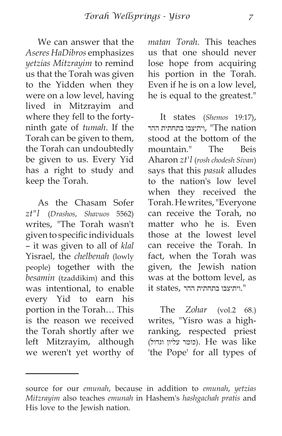We can answer that the *Aseres HaDibros* emphasizes *yetzias Mitzrayim* to remind us that the Torah was given to the Yidden when they were on a low level, having lived in Mitzrayim and where they fell to the fortyninth gate of *tumah*. If the Torah can be given to them, the Torah can undoubtedly be given to us. Every Yid has a right to study and keep the Torah.

As the Chasam Sofer *zt"l* (*Drashos*, *Shavuos* 5562) writes, "The Torah wasn't given to specific individuals – it was given to all of *klal* Yisrael, the *chelbenah* (lowly people) together with the *besamin* (tzaddikim) and this was intentional, to enable every Yid to earn his portion in the Torah… This is the reason we received the Torah shortly after we left Mitzrayim, although we weren't yet worthy of *matan Torah.* This teaches us that one should never lose hope from acquiring his portion in the Torah. Even if he is on a low level, he is equal to the greatest."

It states (*Shemos* 19:17), ויתיצבו בתחתית ההר $\cdot$  "The nation stood at the bottom of the mountain." The Beis Aharon *zt'l* (*rosh chodesh Sivan*) says that this *pasuk* alludes to the nation's low level when they received the Torah. He writes, "Everyone can receive the Torah, no matter who he is. Even those at the lowest level can receive the Torah. In fact, when the Torah was given, the Jewish nation was at the bottom level, as  $i$ ויתיצבו בתחתית ההר , ".

The *Zohar* (vol.2 68.) writes, "Yisro was a highranking, respected priest (כומר עליון וגדול). He was like 'the Pope' for all types of

source for our *emunah*, because in addition to *emunah*, *yetzias Mitzrayim* also teaches *emunah* in Hashem's *hashgachah pratis* and His love to the Jewish nation.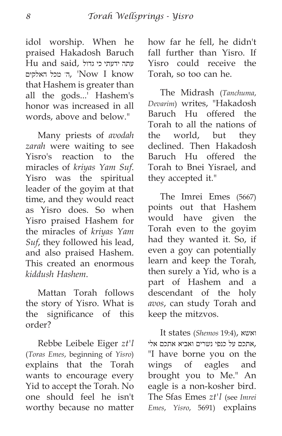idol worship. When he praised Hakadosh Baruch  $Hu$  and said, נתה ידעתי כי גדול ה' מכל האלקים, 'Now I know that Hashem is greater than all the gods...' Hashem's honor was increased in all words, above and below."

Many priests of *avodah zarah* were waiting to see Yisro's reaction to the miracles of *kriyas Yam Suf*. Yisro was the spiritual leader of the goyim at that time, and they would react as Yisro does. So when Yisro praised Hashem for the miracles of *kriyas Yam Suf*, they followed his lead, and also praised Hashem. This created an enormous *kiddush Hashem*.

Mattan Torah follows the story of Yisro. What is the significance of this order?

Rebbe Leibele Eiger *zt'l* (*Toras Emes*, beginning of *Yisro*) explains that the Torah wants to encourage every Yid to accept the Torah. No one should feel he isn't worthy because no matter how far he fell, he didn't fall further than Yisro. If Yisro could receive the Torah, so too can he.

The Midrash (*Tanchuma*, *Devarim*) writes, "Hakadosh Baruch Hu offered the Torah to all the nations of the world, but they declined. Then Hakadosh Baruch Hu offered the Torah to Bnei Yisrael, and they accepted it."

The Imrei Emes (5667) points out that Hashem would have given the Torah even to the goyim had they wanted it. So, if even a goy can potentially learn and keep the Torah, then surely a Yid, who is a part of Hashem and a descendant of the holy *avos*, can study Torah and keep the mitzvos.

It states (*Shemos* 19:4), ואשא ,אתכם על כנפי נשרים ואביא אתכם אלי "I have borne you on the wings of eagles and brought you to Me." An eagle is a non-kosher bird. The Sfas Emes *zt'l* (see *Imrei Emes*, *Yisro*, 5691) explains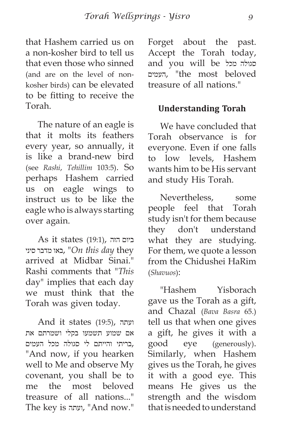that Hashem carried us on a non-kosher bird to tell us that even those who sinned (and are on the level of nonkosher birds) can be elevated to be fitting to receive the Torah.

The nature of an eagle is that it molts its feathers every year, so annually, it is like a brand-new bird (see *Rashi*, *Tehillim* 103:5). So perhaps Hashem carried us on eagle wings to instruct us to be like the eagle who is always starting over again.

As it states (19:1), הזה ביום סיני מדבר באו," *On this day* they arrived at Midbar Sinai." Rashi comments that "*This* day" implies that each day we must think that the Torah was given today.

And it states (19:5), ועתה אם שמוע תשמעו בקלי ושמרתם את ,בריתי והייתם לי סגולה מכל העמים "And now, if you hearken well to Me and observe My covenant, you shall be to me the most beloved treasure of all nations..." The key is ועתה," And now."

Forget about the past. Accept the Torah today, and you will be מכל סגולה העמים," the most beloved treasure of all nations."

## **Understanding Torah**

We have concluded that Torah observance is for everyone. Even if one falls to low levels, Hashem wants him to be His servant and study His Torah.

Nevertheless, some people feel that Torah study isn't for them because they don't understand what they are studying. For them, we quote a lesson from the Chidushei HaRim (*Shavuos*):

"Hashem Yisborach gave us the Torah as a gift, and Chazal (*Bava Basra* 65.) tell us that when one gives a gift, he gives it with a good eye (generously). Similarly, when Hashem gives us the Torah, he gives it with a good eye. This means He gives us the strength and the wisdom that is needed to understand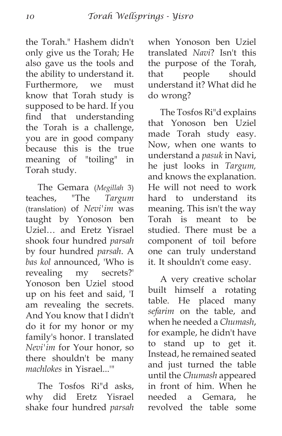the Torah." Hashem didn't only give us the Torah; He also gave us the tools and the ability to understand it. Furthermore, we must know that Torah study is supposed to be hard. If you find that understanding the Torah is a challenge, you are in good company because this is the true meaning of "toiling" in Torah study.

The Gemara (*Megillah* 3) teaches, "The *Targum* (translation) of *Nevi'im* was taught by Yonoson ben Uziel… and Eretz Yisrael shook four hundred *parsah* by four hundred *parsah*. A *bas kol* announced, 'Who is revealing my secrets?' Yonoson ben Uziel stood up on his feet and said, 'I am revealing the secrets. And You know that I didn't do it for my honor or my family's honor. I translated *Nevi'im* for Your honor, so there shouldn't be many *machlokes* in Yisrael...'"

The Tosfos Ri"d asks, why did Eretz Yisrael shake four hundred *parsah* when Yonoson ben Uziel translated *Navi*? Isn't this the purpose of the Torah, that people should understand it? What did he do wrong?

The Tosfos Ri"d explains that Yonoson ben Uziel made Torah study easy. Now, when one wants to understand a *pasuk* in Navi, he just looks in *Targum,* and knows the explanation. He will not need to work hard to understand its meaning. This isn't the way Torah is meant to be studied. There must be a component of toil before one can truly understand it. It shouldn't come easy.

A very creative scholar built himself a rotating table. He placed many *sefarim* on the table, and when he needed a *Chumash*, for example, he didn't have to stand up to get it. Instead, he remained seated and just turned the table until the *Chumash* appeared in front of him. When he needed a Gemara, he revolved the table some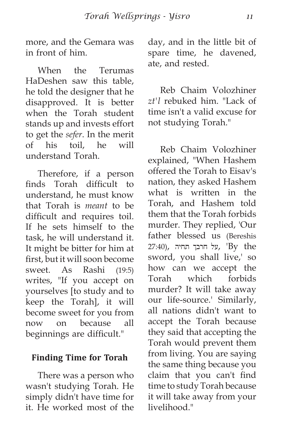more, and the Gemara was in front of him.

When the Terumas HaDeshen saw this table, he told the designer that he disapproved. It is better when the Torah student stands up and invests effort to get the *sefer*. In the merit of his toil, he will understand Torah.

Therefore, if a person finds Torah difficult to understand, he must know that Torah is *meant* to be difficult and requires toil. If he sets himself to the task, he will understand it. It might be bitter for him at first, but it will soon become sweet. As Rashi (19:5) writes, "If you accept on yourselves [to study and to keep the Torah], it will become sweet for you from now on because all beginnings are difficult."

### **Finding Time for Torah**

There was a person who wasn't studying Torah. He simply didn't have time for it. He worked most of the day, and in the little bit of spare time, he davened, ate, and rested.

Reb Chaim Volozhiner *zt'l* rebuked him. "Lack of time isn't a valid excuse for not studying Torah."

Reb Chaim Volozhiner explained, "When Hashem offered the Torah to Eisav's nation, they asked Hashem what is written in the Torah, and Hashem told them that the Torah forbids murder. They replied, 'Our father blessed us (Bereshis על חרבך תחיה ,  $'$ By the sword, you shall live,' so how can we accept the Torah which forbids murder? It will take away our life-source.' Similarly, all nations didn't want to accept the Torah because they said that accepting the Torah would prevent them from living. You are saying the same thing because you claim that you can't find time to study Torah because it will take away from your livelihood."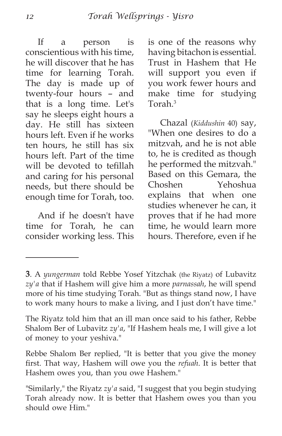If a person is conscientious with his time, he will discover that he has time for learning Torah. The day is made up of twenty-four hours – and that is a long time. Let's say he sleeps eight hours a day. He still has sixteen hours left. Even if he works ten hours, he still has six hours left. Part of the time will be devoted to tefillah and caring for his personal needs, but there should be enough time for Torah, too.

And if he doesn't have time for Torah, he can consider working less. This is one of the reasons why having bitachon is essential. Trust in Hashem that He will support you even if you work fewer hours and make time for studying Torah.3

Chazal (*Kiddushin* 40) say, "When one desires to do a mitzvah, and he is not able to, he is credited as though he performed the mitzvah." Based on this Gemara, the Choshen Yehoshua explains that when one studies whenever he can, it proves that if he had more time, he would learn more hours. Therefore, even if he

Rebbe Shalom Ber replied, "It is better that you give the money first. That way, Hashem will owe you the *refuah*. It is better that Hashem owes you, than you owe Hashem."

**<sup>3</sup>**. A *yungerman* told Rebbe Yosef Yitzchak (the Riyatz) of Lubavitz *zy'a* that if Hashem will give him a more *parnassah*, he will spend more of his time studying Torah. "But as things stand now, I have to work many hours to make a living, and I just don't have time."

The Riyatz told him that an ill man once said to his father, Rebbe Shalom Ber of Lubavitz *zy'a*, "If Hashem heals me, I will give a lot of money to your yeshiva."

<sup>&</sup>quot;Similarly," the Riyatz *zy'a* said, "I suggest that you begin studying Torah already now. It is better that Hashem owes you than you should owe Him."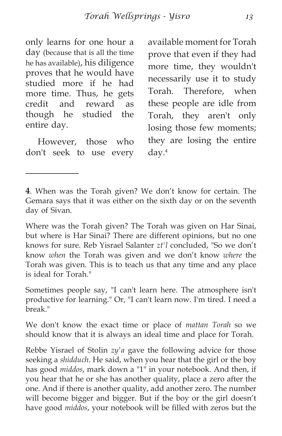only learns for one hour a day (because that is all the time he has available), his diligence proves that he would have studied more if he had more time. Thus, he gets credit and reward as though he studied the entire day.

However, those who don't seek to use every available moment for Torah prove that even if they had more time, they wouldn't necessarily use it to study Torah. Therefore, when these people are idle from Torah, they aren't only losing those few moments; they are losing the entire day.4

**4**. When was the Torah given? We don't know for certain. The Gemara says that it was either on the sixth day or on the seventh day of Sivan.

Where was the Torah given? The Torah was given on Har Sinai, but where is Har Sinai? There are different opinions, but no one knows for sure. Reb Yisrael Salanter *zt'l* concluded, "So we don't know *when* the Torah was given and we don't know *where* the Torah was given. This is to teach us that any time and any place is ideal for Torah."

Sometimes people say, "I can't learn here. The atmosphere isn't productive for learning." Or, "I can't learn now. I'm tired. I need a break<sup>"</sup>

We don't know the exact time or place of *mattan Torah* so we should know that it is always an ideal time and place for Torah.

Rebbe Yisrael of Stolin *zy'a* gave the following advice for those seeking a *shidduch*. He said, when you hear that the girl or the boy has good *middos*, mark down a "1" in your notebook. And then, if you hear that he or she has another quality, place a zero after the one. And if there is another quality, add another zero. The number will become bigger and bigger. But if the boy or the girl doesn't have good *middos*, your notebook will be filled with zeros but the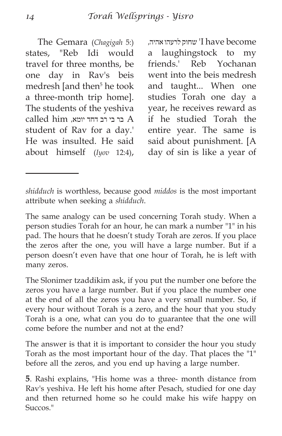The Gemara (*Chagigah* 5:) states, "Reb Idi would travel for three months, be one day in Rav's beis medresh [and then<sup>5</sup> he took a three-month trip home]. The students of the yeshiva  $cal$   $hat$   $him$   $x<sub>pr</sub>$  בר בי רב דחד יומא,  $A$ student of Rav for a day.' He was insulted. He said about himself (*Iyov* 12:4),

 become have I 'שחוק לרעהו אהיה, a laughingstock to my friends.' Reb Yochanan went into the beis medresh and taught... When one studies Torah one day a year, he receives reward as if he studied Torah the entire year. The same is said about punishment. [A day of sin is like a year of

The same analogy can be used concerning Torah study. When a person studies Torah for an hour, he can mark a number "1" in his pad. The hours that he doesn't study Torah are zeros. If you place the zeros after the one, you will have a large number. But if a person doesn't even have that one hour of Torah, he is left with many zeros.

The Slonimer tzaddikim ask, if you put the number one before the zeros you have a large number. But if you place the number one at the end of all the zeros you have a very small number. So, if every hour without Torah is a zero, and the hour that you study Torah is a one, what can you do to guarantee that the one will come before the number and not at the end?

The answer is that it is important to consider the hour you study Torah as the most important hour of the day. That places the "1" before all the zeros, and you end up having a large number.

**5**. Rashi explains, "His home was a three- month distance from Rav's yeshiva. He left his home after Pesach, studied for one day and then returned home so he could make his wife happy on Succos."

*shidduch* is worthless, because good *middos* is the most important attribute when seeking a *shidduch*.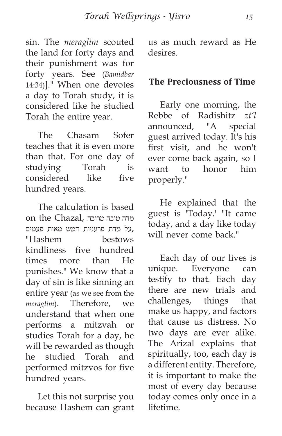sin. The *meraglim* scouted the land for forty days and their punishment was for forty years. See (*Bamidbar* 14:34)]." When one devotes a day to Torah study, it is considered like he studied Torah the entire year.

The Chasam Sofer teaches that it is even more than that. For one day of studying Torah is considered like five hundred years.

The calculation is based מדה טובה מרובה ,Chazal the on ,על מדת פרעניות חמש מאות פעמים "Hashem bestows kindliness five hundred times more than He punishes." We know that a day of sin is like sinning an entire year (as we see from the *meraglim*). Therefore, we understand that when one performs a mitzvah or studies Torah for a day, he will be rewarded as though he studied Torah and performed mitzvos for five hundred years.

Let this not surprise you because Hashem can grant us as much reward as He desires.

## **The Preciousness of Time**

Early one morning, the Rebbe of Radishitz *zt'l* announced, "A special guest arrived today. It's his first visit, and he won't ever come back again, so I want to honor him properly."

He explained that the guest is 'Today.' "It came today, and a day like today will never come back."

Each day of our lives is unique. Everyone can testify to that. Each day there are new trials and challenges, things that make us happy, and factors that cause us distress. No two days are ever alike. The Arizal explains that spiritually, too, each day is a different entity. Therefore, it is important to make the most of every day because today comes only once in a lifetime.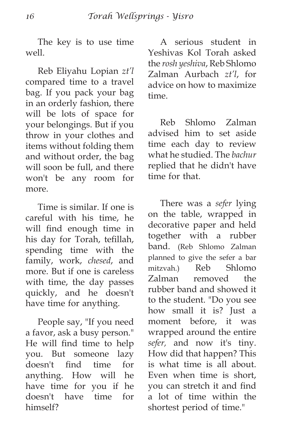The key is to use time well.

Reb Eliyahu Lopian *zt'l* compared time to a travel bag. If you pack your bag in an orderly fashion, there will be lots of space for your belongings. But if you throw in your clothes and items without folding them and without order, the bag will soon be full, and there won't be any room for more.

Time is similar. If one is careful with his time, he will find enough time in his day for Torah, tefillah, spending time with the family, work, *chesed*, and more. But if one is careless with time, the day passes quickly, and he doesn't have time for anything.

People say, "If you need a favor, ask a busy person." He will find time to help you. But someone lazy doesn't find time for anything. How will he have time for you if he doesn't have time for himself?

A serious student in Yeshivas Kol Torah asked the *rosh yeshiva*, Reb Shlomo Zalman Aurbach *zt'l*, for advice on how to maximize time.

Reb Shlomo Zalman advised him to set aside time each day to review what he studied. The *bachur* replied that he didn't have time for that.

There was a *sefer* lying on the table, wrapped in decorative paper and held together with a rubber band. (Reb Shlomo Zalman planned to give the sefer a bar mitzvah.) Reb Shlomo Zalman removed the rubber band and showed it to the student. "Do you see how small it is? Just a moment before, it was wrapped around the entire *sefer,* and now it's tiny. How did that happen? This is what time is all about. Even when time is short, you can stretch it and find a lot of time within the shortest period of time."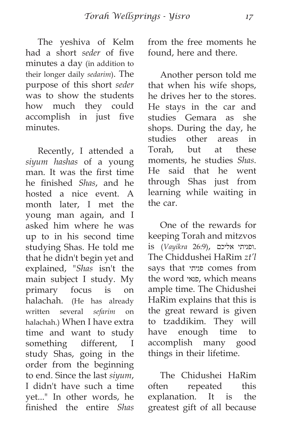The yeshiva of Kelm had a short *seder* of five minutes a day (in addition to their longer daily *sedarim*). The purpose of this short *seder* was to show the students how much they could accomplish in just five minutes.

Recently, I attended a *siyum hashas* of a young man. It was the first time he finished *Shas*, and he hosted a nice event. A month later, I met the young man again, and I asked him where he was up to in his second time studying Shas. He told me that he didn't begin yet and explained, "*Shas* isn't the main subject I study. My primary focus is on halachah. (He has already written several *sefarim* on halachah.) When I have extra time and want to study something different, I study Shas, going in the order from the beginning to end. Since the last *siyum*, I didn't have such a time yet..." In other words, he finished the entire *Shas* from the free moments he found, here and there.

Another person told me that when his wife shops, he drives her to the stores. He stays in the car and studies Gemara as she shops. During the day, he studies other areas in Torah, but at these moments, he studies *Shas*. He said that he went through Shas just from learning while waiting in the car.

One of the rewards for keeping Torah and mitzvos .ופניתי אליכם ,(26:9 *Vayikra* (is The Chiddushei HaRim *zt'l* says that פניתי comes from the word פנאי, which means ample time. The Chidushei HaRim explains that this is the great reward is given to tzaddikim. They will have enough time to accomplish many good things in their lifetime.

The Chidushei HaRim often repeated this explanation. It is the greatest gift of all because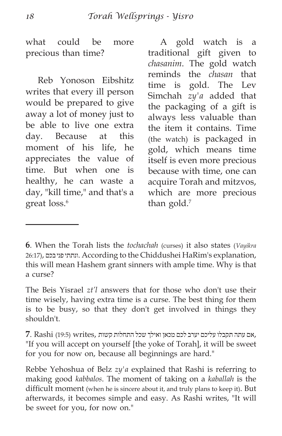what could be more precious than time?

Reb Yonoson Eibshitz writes that every ill person would be prepared to give away a lot of money just to be able to live one extra day. Because at this moment of his life, he appreciates the value of time. But when one is healthy, he can waste a day, "kill time," and that's a great loss.<sup>6</sup>

A gold watch is a traditional gift given to *chasanim*. The gold watch reminds the *chasan* that time is gold. The Lev Simchah *zy'a* added that the packaging of a gift is always less valuable than the item it contains. Time (the watch) is packaged in gold, which means time itself is even more precious because with time, one can acquire Torah and mitzvos, which are more precious than gold.<sup>7</sup>

**6**. When the Torah lists the *tochachah* (curses) it also states (*Vayikra* 26:17), בכם פני ונתתי. According to the Chiddushei HaRim's explanation, this will mean Hashem grant sinners with ample time. Why is that a curse?

The Beis Yisrael *zt'l* answers that for those who don't use their time wisely, having extra time is a curse. The best thing for them is to be busy, so that they don't get involved in things they shouldn't.

 ,אם עתה תקבלו עליכם יערב לכם מכאן ואילך שכל התחלות קשות ,writes) 19:5 (Rashi **7**. "If you will accept on yourself [the yoke of Torah], it will be sweet for you for now on, because all beginnings are hard."

Rebbe Yehoshua of Belz *zy'a* explained that Rashi is referring to making good *kabbalos*. The moment of taking on a *kaballah* is the difficult moment (when he is sincere about it, and truly plans to keep it). But afterwards, it becomes simple and easy. As Rashi writes, "It will be sweet for you, for now on."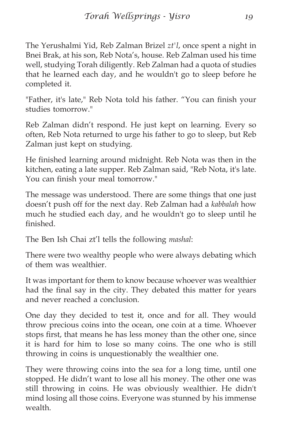The Yerushalmi Yid, Reb Zalman Brizel *zt'l*, once spent a night in Bnei Brak, at his son, Reb Nota's, house. Reb Zalman used his time well, studying Torah diligently. Reb Zalman had a quota of studies that he learned each day, and he wouldn't go to sleep before he completed it.

"Father, it's late," Reb Nota told his father. "You can finish your studies tomorrow."

Reb Zalman didn't respond. He just kept on learning. Every so often, Reb Nota returned to urge his father to go to sleep, but Reb Zalman just kept on studying.

He finished learning around midnight. Reb Nota was then in the kitchen, eating a late supper. Reb Zalman said, "Reb Nota, it's late. You can finish your meal tomorrow."

The message was understood. There are some things that one just doesn't push off for the next day. Reb Zalman had a *kabbalah* how much he studied each day, and he wouldn't go to sleep until he finished.

The Ben Ish Chai zt'l tells the following *mashal*:

There were two wealthy people who were always debating which of them was wealthier.

It was important for them to know because whoever was wealthier had the final say in the city. They debated this matter for years and never reached a conclusion.

One day they decided to test it, once and for all. They would throw precious coins into the ocean, one coin at a time. Whoever stops first, that means he has less money than the other one, since it is hard for him to lose so many coins. The one who is still throwing in coins is unquestionably the wealthier one.

They were throwing coins into the sea for a long time, until one stopped. He didn't want to lose all his money. The other one was still throwing in coins. He was obviously wealthier. He didn't mind losing all those coins. Everyone was stunned by his immense wealth.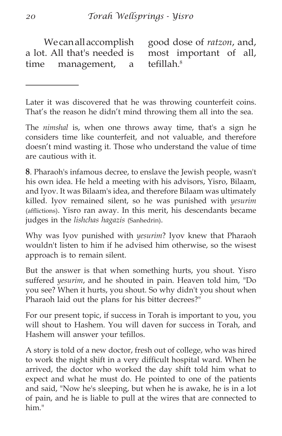We can all accomplish a lot. All that's needed is time management, a good dose of *ratzon*, and, most important of all, tefillah. 8

Later it was discovered that he was throwing counterfeit coins. That's the reason he didn't mind throwing them all into the sea.

The *nimshal* is, when one throws away time, that's a sign he considers time like counterfeit, and not valuable, and therefore doesn't mind wasting it. Those who understand the value of time are cautious with it.

**8**. Pharaoh's infamous decree, to enslave the Jewish people, wasn't his own idea. He held a meeting with his advisors, Yisro, Bilaam, and Iyov. It was Bilaam's idea, and therefore Bilaam was ultimately killed. Iyov remained silent, so he was punished with *yesurim* (afflictions). Yisro ran away. In this merit, his descendants became judges in the *lishchas hagazis* (Sanhedrin).

Why was Iyov punished with *yesurim*? Iyov knew that Pharaoh wouldn't listen to him if he advised him otherwise, so the wisest approach is to remain silent.

But the answer is that when something hurts, you shout. Yisro suffered *yesurim*, and he shouted in pain. Heaven told him, "Do you see? When it hurts, you shout. So why didn't you shout when Pharaoh laid out the plans for his bitter decrees?"

For our present topic, if success in Torah is important to you, you will shout to Hashem. You will daven for success in Torah, and Hashem will answer your tefillos.

A story is told of a new doctor, fresh out of college, who was hired to work the night shift in a very difficult hospital ward. When he arrived, the doctor who worked the day shift told him what to expect and what he must do. He pointed to one of the patients and said, "Now he's sleeping, but when he is awake, he is in a lot of pain, and he is liable to pull at the wires that are connected to him."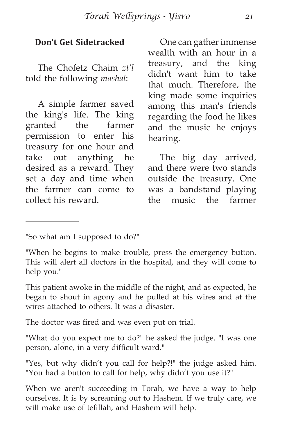#### **Don't Get Sidetracked**

The Chofetz Chaim *zt'l* told the following *mashal*:

A simple farmer saved the king's life. The king granted the farmer permission to enter his treasury for one hour and take out anything he desired as a reward. They set a day and time when the farmer can come to collect his reward.

One can gather immense wealth with an hour in a treasury, and the king didn't want him to take that much. Therefore, the king made some inquiries among this man's friends regarding the food he likes and the music he enjoys hearing.

The big day arrived, and there were two stands outside the treasury. One was a bandstand playing the music the farmer

This patient awoke in the middle of the night, and as expected, he began to shout in agony and he pulled at his wires and at the wires attached to others. It was a disaster.

The doctor was fired and was even put on trial.

"What do you expect me to do?" he asked the judge. "I was one person, alone, in a very difficult ward."

"Yes, but why didn't you call for help?!" the judge asked him. "You had a button to call for help, why didn't you use it?"

When we aren't succeeding in Torah, we have a way to help ourselves. It is by screaming out to Hashem. If we truly care, we will make use of tefillah, and Hashem will help.

<sup>&</sup>quot;So what am I supposed to do?"

<sup>&</sup>quot;When he begins to make trouble, press the emergency button. This will alert all doctors in the hospital, and they will come to help you."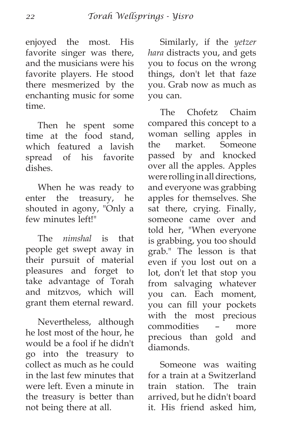enjoyed the most. His favorite singer was there, and the musicians were his favorite players. He stood there mesmerized by the enchanting music for some time.

Then he spent some time at the food stand, which featured a lavish spread of his favorite dishes.

When he was ready to enter the treasury, he shouted in agony, "Only a few minutes left!"

The *nimshal* is that people get swept away in their pursuit of material pleasures and forget to take advantage of Torah and mitzvos, which will grant them eternal reward.

Nevertheless, although he lost most of the hour, he would be a fool if he didn't go into the treasury to collect as much as he could in the last few minutes that were left. Even a minute in the treasury is better than not being there at all.

Similarly, if the *yetzer hara* distracts you, and gets you to focus on the wrong things, don't let that faze you. Grab now as much as you can.

The Chofetz Chaim compared this concept to a woman selling apples in the market. Someone passed by and knocked over all the apples. Apples were rolling in all directions, and everyone was grabbing apples for themselves. She sat there, crying. Finally, someone came over and told her, "When everyone is grabbing, you too should grab." The lesson is that even if you lost out on a lot, don't let that stop you from salvaging whatever you can. Each moment, you can fill your pockets with the most precious commodities – more precious than gold and diamonds.

Someone was waiting for a train at a Switzerland train station. The train arrived, but he didn't board it. His friend asked him,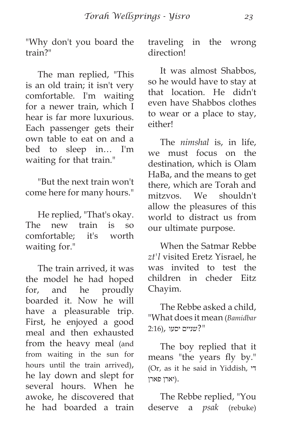"Why don't you board the train?"

The man replied, "This is an old train; it isn't very comfortable. I'm waiting for a newer train, which I hear is far more luxurious. Each passenger gets their own table to eat on and a bed to sleep in… I'm waiting for that train."

"But the next train won't come here for many hours."

He replied, "That's okay. The new train is so comfortable; it's worth waiting for."

The train arrived, it was the model he had hoped for, and he proudly boarded it. Now he will have a pleasurable trip. First, he enjoyed a good meal and then exhausted from the heavy meal (and from waiting in the sun for hours until the train arrived), he lay down and slept for several hours. When he awoke, he discovered that he had boarded a train traveling in the wrong direction!

It was almost Shabbos, so he would have to stay at that location. He didn't even have Shabbos clothes to wear or a place to stay, either!

The *nimshal* is, in life, we must focus on the destination, which is Olam HaBa, and the means to get there, which are Torah and mitzvos. We shouldn't allow the pleasures of this world to distract us from our ultimate purpose.

When the Satmar Rebbe *zt'l* visited Eretz Yisrael, he was invited to test the children in cheder Eitz Chayim.

The Rebbe asked a child, "What does it mean (*Bamidbar "*?שניים יסעו ,(2:16

The boy replied that it means "the years fly by." (Or, as it he said in Yiddish, די .(יארן פארן

The Rebbe replied, "You deserve a *psak* (rebuke)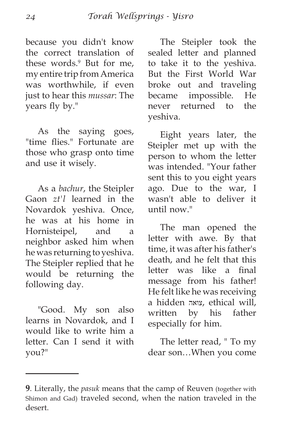because you didn't know the correct translation of these words.<sup>9</sup> But for me, my entire trip from America was worthwhile, if even just to hear this *mussar*: The years fly by."

As the saying goes, "time flies." Fortunate are those who grasp onto time and use it wisely.

As a *bachur*, the Steipler Gaon *zt'l* learned in the Novardok yeshiva. Once, he was at his home in Hornisteipel, and a neighbor asked him when he was returning to yeshiva. The Steipler replied that he would be returning the following day.

"Good. My son also learns in Novardok, and I would like to write him a letter. Can I send it with you?"

The Steipler took the sealed letter and planned to take it to the yeshiva. But the First World War broke out and traveling became impossible. He never returned to the yeshiva.

Eight years later, the Steipler met up with the person to whom the letter was intended. "Your father sent this to you eight years ago. Due to the war, I wasn't able to deliver it until now."

The man opened the letter with awe. By that time, it was after his father's death, and he felt that this letter was like a final message from his father! He felt like he was receiving a hidden צואה, ethical will, written by his father especially for him.

The letter read, " To my dear son…When you come

**<sup>9</sup>**. Literally, the *pasuk* means that the camp of Reuven (together with Shimon and Gad) traveled second, when the nation traveled in the desert.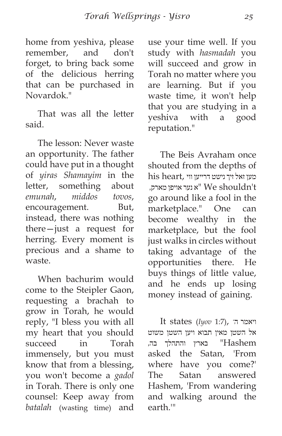home from yeshiva, please remember, and don't forget, to bring back some of the delicious herring that can be purchased in Novardok<sup>"</sup>

That was all the letter said.

The lesson: Never waste an opportunity. The father could have put in a thought of *yiras Shamayim* in the letter, something about *emunah*, *middos tovos*, encouragement. But, instead, there was nothing there—just a request for herring. Every moment is precious and a shame to waste.

When bachurim would come to the Steipler Gaon, requesting a brachah to grow in Torah, he would reply, "I bless you with all my heart that you should succeed in Torah immensely, but you must know that from a blessing, you won't become a *gadol* in Torah. There is only one counsel: Keep away from *batalah* (wasting time) and use your time well. If you study with *hasmadah* you will succeed and grow in Torah no matter where you are learning. But if you waste time, it won't help that you are studying in a yeshiva with a good reputation."

The Beis Avraham once shouted from the depths of his heart, מען זאל זיך נישט דרייען ווי יא נער אויפן מארק, We shouldn't go around like a fool in the marketplace." One can become wealthy in the marketplace, but the fool just walks in circles without taking advantage of the opportunities there. He buys things of little value, and he ends up losing money instead of gaining.

It states (*Iyov* 1:7), 'ה ויאמר אל השטן מאין תבוא ויען השטן משוט Hashem "בארץ והתהלך בה, asked the Satan, 'From where have you come?' The Satan answered Hashem, 'From wandering and walking around the earth.'"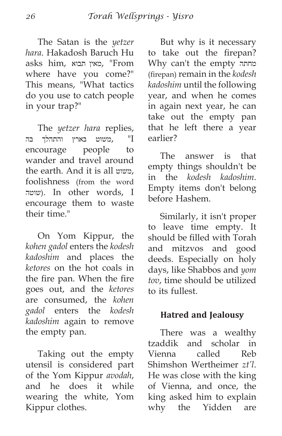The Satan is the *yetzer hara*. Hakadosh Baruch Hu asks him, תבוא מאין," From where have you come?" This means, "What tactics do you use to catch people in your trap?"

The *yetzer hara* replies, I ",משוט בארץ והתהלך בה encourage people to wander and travel around the earth. And it is all משוט, foolishness (from the word שוטה(. In other words, I encourage them to waste their time."

On Yom Kippur, the *kohen gadol* enters the *kodesh kadoshim* and places the *ketores* on the hot coals in the fire pan. When the fire goes out, and the *ketores* are consumed, the *kohen gadol* enters the *kodesh kadoshim* again to remove the empty pan.

Taking out the empty utensil is considered part of the Yom Kippur *avodah*, and he does it while wearing the white, Yom Kippur clothes.

But why is it necessary to take out the firepan? Why can't the empty מחתה (firepan) remain in the *kodesh kadoshim* until the following year, and when he comes in again next year, he can take out the empty pan that he left there a year earlier?

The answer is that empty things shouldn't be in the *kodesh kadoshim*. Empty items don't belong before Hashem.

Similarly, it isn't proper to leave time empty. It should be filled with Torah and mitzvos and good deeds. Especially on holy days, like Shabbos and *yom tov*, time should be utilized to its fullest.

# **Hatred and Jealousy**

There was a wealthy tzaddik and scholar in Vienna called Reb Shimshon Wertheimer *zt'l*. He was close with the king of Vienna, and once, the king asked him to explain why the Yidden are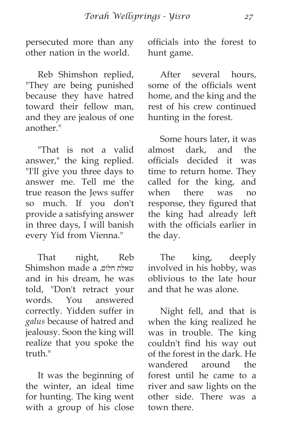persecuted more than any other nation in the world.

Reb Shimshon replied, "They are being punished because they have hatred toward their fellow man, and they are jealous of one another."

"That is not a valid answer," the king replied. "I'll give you three days to answer me. Tell me the true reason the Jews suffer so much. If you don't provide a satisfying answer in three days, I will banish every Yid from Vienna."

That night, Reb Shimshon made a ,חלום שאלת and in his dream, he was told, "Don't retract your words. You answered correctly. Yidden suffer in *galus* because of hatred and jealousy. Soon the king will realize that you spoke the truth."

It was the beginning of the winter, an ideal time for hunting. The king went with a group of his close officials into the forest to hunt game.

After several hours, some of the officials went home, and the king and the rest of his crew continued hunting in the forest.

Some hours later, it was almost dark, and the officials decided it was time to return home. They called for the king, and when there was no response, they figured that the king had already left with the officials earlier in the day.

The king, deeply involved in his hobby, was oblivious to the late hour and that he was alone.

Night fell, and that is when the king realized he was in trouble. The king couldn't find his way out of the forest in the dark. He wandered around the forest until he came to a river and saw lights on the other side. There was a town there.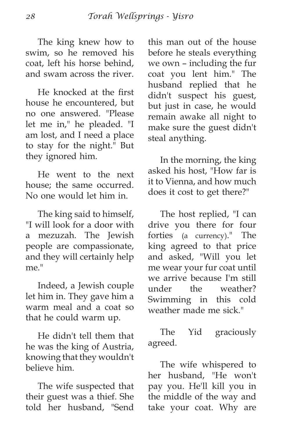The king knew how to swim, so he removed his coat, left his horse behind, and swam across the river.

He knocked at the first house he encountered, but no one answered. "Please let me in," he pleaded. "I am lost, and I need a place to stay for the night." But they ignored him.

He went to the next house; the same occurred. No one would let him in.

The king said to himself, "I will look for a door with a mezuzah. The Jewish people are compassionate, and they will certainly help me."

Indeed, a Jewish couple let him in. They gave him a warm meal and a coat so that he could warm up.

He didn't tell them that he was the king of Austria, knowing that they wouldn't believe him.

The wife suspected that their guest was a thief. She told her husband, "Send this man out of the house before he steals everything we own – including the fur coat you lent him." The husband replied that he didn't suspect his guest, but just in case, he would remain awake all night to make sure the guest didn't steal anything.

In the morning, the king asked his host, "How far is it to Vienna, and how much does it cost to get there?"

The host replied, "I can drive you there for four forties (a currency)." The king agreed to that price and asked, "Will you let me wear your fur coat until we arrive because I'm still under the weather? Swimming in this cold weather made me sick."

The Yid graciously agreed.

The wife whispered to her husband, "He won't pay you. He'll kill you in the middle of the way and take your coat. Why are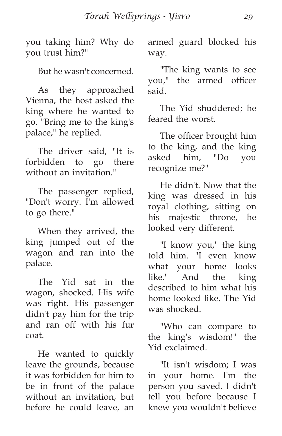you taking him? Why do you trust him?"

But he wasn't concerned.

As they approached Vienna, the host asked the king where he wanted to go. "Bring me to the king's palace," he replied.

The driver said, "It is forbidden to go there without an invitation."

The passenger replied, "Don't worry. I'm allowed to go there."

When they arrived, the king jumped out of the wagon and ran into the palace.

The Yid sat in the wagon, shocked. His wife was right. His passenger didn't pay him for the trip and ran off with his fur coat.

He wanted to quickly leave the grounds, because it was forbidden for him to be in front of the palace without an invitation, but before he could leave, an armed guard blocked his way.

"The king wants to see you," the armed officer said.

The Yid shuddered; he feared the worst.

The officer brought him to the king, and the king asked him, "Do you recognize me?"

He didn't. Now that the king was dressed in his royal clothing, sitting on his majestic throne, he looked very different.

"I know you," the king told him. "I even know what your home looks like." And the king described to him what his home looked like. The Yid was shocked.

"Who can compare to the king's wisdom!" the Yid exclaimed.

"It isn't wisdom; I was in your home. I'm the person you saved. I didn't tell you before because I knew you wouldn't believe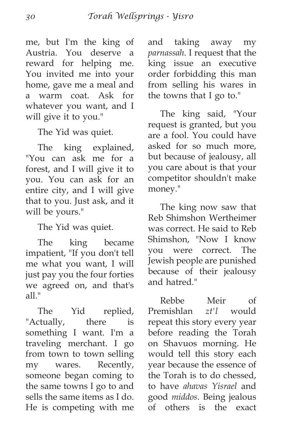me, but I'm the king of Austria. You deserve a reward for helping me. You invited me into your home, gave me a meal and a warm coat. Ask for whatever you want, and I will give it to you."

The Yid was quiet.

The king explained, "You can ask me for a forest, and I will give it to you. You can ask for an entire city, and I will give that to you. Just ask, and it will be yours."

The Yid was quiet.

The king became impatient, "If you don't tell me what you want, I will just pay you the four forties we agreed on, and that's  $all$ "

The Yid replied, "Actually, there is something I want. I'm a traveling merchant. I go from town to town selling my wares. Recently, someone began coming to the same towns I go to and sells the same items as I do. He is competing with me and taking away my *parnassah*. I request that the king issue an executive order forbidding this man from selling his wares in the towns that I go to."

The king said, "Your request is granted, but you are a fool. You could have asked for so much more, but because of jealousy, all you care about is that your competitor shouldn't make money."

The king now saw that Reb Shimshon Wertheimer was correct. He said to Reb Shimshon, "Now I know you were correct. The Jewish people are punished because of their jealousy and hatred."

Rebbe Meir of Premishlan *zt'l* would repeat this story every year before reading the Torah on Shavuos morning. He would tell this story each year because the essence of the Torah is to do chessed, to have *ahavas Yisrael* and good *middos*. Being jealous of others is the exact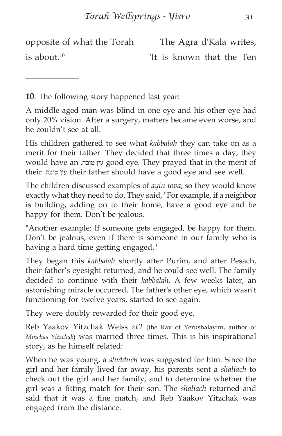opposite of what the Torah is about.10 The Agra d'Kala writes, "It is known that the Ten

**10**. The following story happened last year:

A middle-aged man was blind in one eye and his other eye had only 20% vision. After a surgery, matters became even worse, and he couldn't see at all.

His children gathered to see what *kabbalah* they can take on as a merit for their father. They decided that three times a day, they would have an ,טובה עין good eye. They prayed that in the merit of their ,טובה עין their father should have a good eye and see well.

The children discussed examples of *ayin tova*, so they would know exactly what they need to do. They said, "For example, if a neighbor is building, adding on to their home, have a good eye and be happy for them. Don't be jealous.

"Another example: If someone gets engaged, be happy for them. Don't be jealous, even if there is someone in our family who is having a hard time getting engaged."

They began this *kabbalah* shortly after Purim, and after Pesach, their father's eyesight returned, and he could see well. The family decided to continue with their *kabbalah*. A few weeks later, an astonishing miracle occurred. The father's other eye, which wasn't functioning for twelve years, started to see again.

They were doubly rewarded for their good eye.

Reb Yaakov Yitzchak Weiss *zt'l* (the Rav of Yerushalayim, author of *Minchas Yitzchak*) was married three times. This is his inspirational story, as he himself related:

When he was young, a *shidduch* was suggested for him. Since the girl and her family lived far away, his parents sent a *shaliach* to check out the girl and her family, and to determine whether the girl was a fitting match for their son. The *shaliach* returned and said that it was a fine match, and Reb Yaakov Yitzchak was engaged from the distance.